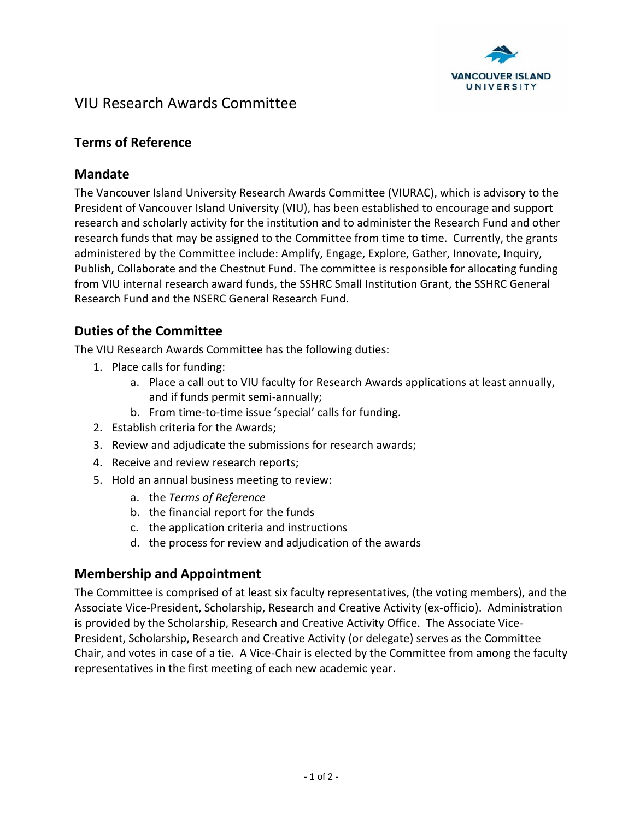

# VIU Research Awards Committee

# **Terms of Reference**

### **Mandate**

The Vancouver Island University Research Awards Committee (VIURAC), which is advisory to the President of Vancouver Island University (VIU), has been established to encourage and support research and scholarly activity for the institution and to administer the Research Fund and other research funds that may be assigned to the Committee from time to time. Currently, the grants administered by the Committee include: Amplify, Engage, Explore, Gather, Innovate, Inquiry, Publish, Collaborate and the Chestnut Fund. The committee is responsible for allocating funding from VIU internal research award funds, the SSHRC Small Institution Grant, the SSHRC General Research Fund and the NSERC General Research Fund.

# **Duties of the Committee**

The VIU Research Awards Committee has the following duties:

- 1. Place calls for funding:
	- a. Place a call out to VIU faculty for Research Awards applications at least annually, and if funds permit semi-annually;
	- b. From time-to-time issue 'special' calls for funding.
- 2. Establish criteria for the Awards;
- 3. Review and adjudicate the submissions for research awards;
- 4. Receive and review research reports;
- 5. Hold an annual business meeting to review:
	- a. the *Terms of Reference*
	- b. the financial report for the funds
	- c. the application criteria and instructions
	- d. the process for review and adjudication of the awards

# **Membership and Appointment**

The Committee is comprised of at least six faculty representatives, (the voting members), and the Associate Vice-President, Scholarship, Research and Creative Activity (ex-officio). Administration is provided by the Scholarship, Research and Creative Activity Office. The Associate Vice-President, Scholarship, Research and Creative Activity (or delegate) serves as the Committee Chair, and votes in case of a tie. A Vice-Chair is elected by the Committee from among the faculty representatives in the first meeting of each new academic year.